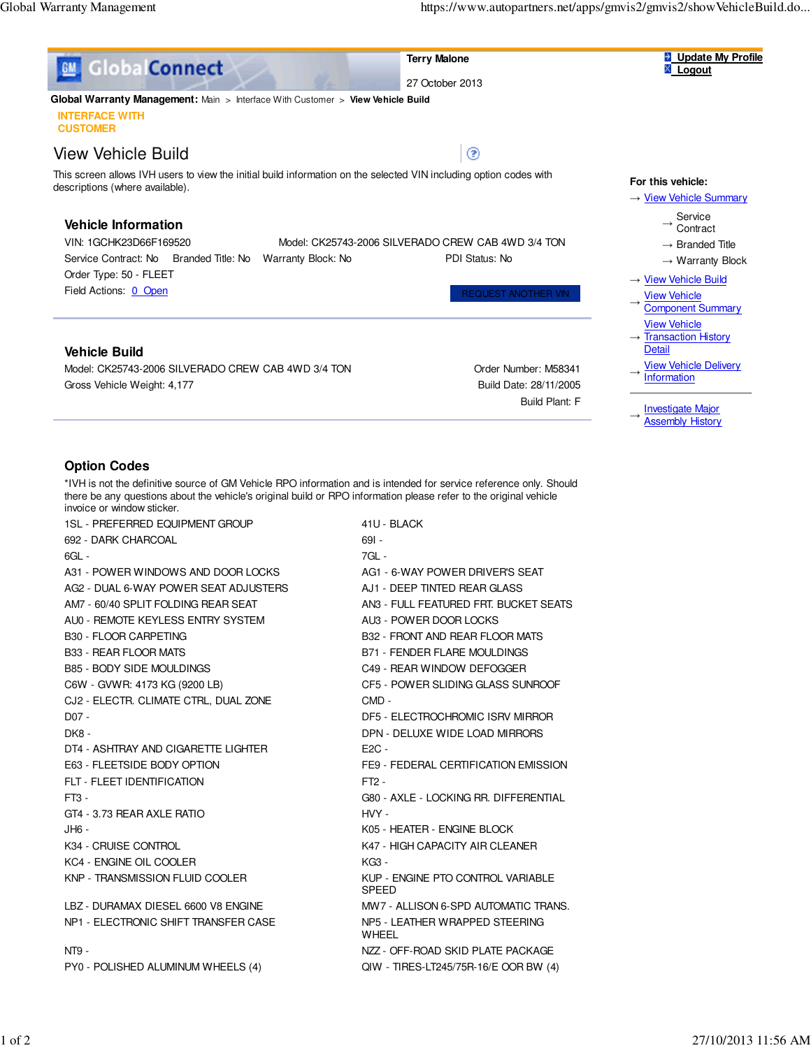

 **Terry Malone** 27 October 2013

⊚



 **Global Warranty Management:** Main > Interface With Customer > **View Vehicle Build INTERFACE WITH**

**CUSTOMER**

## View Vehicle Build

This screen allows IVH users to view the initial build information on the selected VIN including option codes with descriptions (where available).

## **Vehicle Information**

VIN: 1GCHK23D66F169520 Model: CK25743-2006 SILVERADO CREW CAB 4WD 3/4 TON Service Contract: No Branded Title: No Warranty Block: No PDI Status: No Order Type: 50 - FLEET

Field Actions: 0 Open Request ANOTHER VIN

### **Vehicle Build**

Model: CK25743-2006 SILVERADO CREW CAB 4WD 3/4 TON CHAB AND Order Number: M58341 Gross Vehicle Weight: 4,177 **Build Date: 28/11/2005** Build Date: 28/11/2005

Build Plant: F

### **For this vehicle:**

#### → View Vehicle Summary

- Service
- → Service<br>
Contract
- $\rightarrow$  Branded Title
- $\rightarrow$  Warranty Block
- → View Vehicle Build
- $\rightarrow$ View Vehicle Component Summary View Vehicle
- $\rightarrow$ **Transaction History Detail**
- $\rightarrow$ View Vehicle Delivery **Information**
- $\rightarrow$ **Investigate Major**
- **Assembly History**

### **Option Codes**

\*IVH is not the definitive source of GM Vehicle RPO information and is intended for service reference only. Should there be any questions about the vehicle's original build or RPO information please refer to the original vehicle invoice or window sticker.

| <b>1SL - PREFERRED EQUIPMENT GROUP</b> | 41U - BLACK                                       |
|----------------------------------------|---------------------------------------------------|
| 692 - DARK CHARCOAL                    | $691 -$                                           |
| 6GL -                                  | 7GL -                                             |
| A31 - POWER WINDOWS AND DOOR LOCKS     | AG1 - 6-WAY POWER DRIVER'S SEAT                   |
| AG2 - DUAL 6-WAY POWER SEAT ADJUSTERS  | AJ1 - DEEP TINTED REAR GLASS                      |
| AM7 - 60/40 SPLIT FOLDING REAR SEAT    | AN3 - FULL FEATURED FRT. BUCKET SEATS             |
| AU0 - REMOTE KEYLESS ENTRY SYSTEM      | AU3 - POWER DOOR LOCKS                            |
| B30 - FLOOR CARPETING                  | B32 - FRONT AND REAR FLOOR MATS                   |
| B33 - REAR FLOOR MATS                  | <b>B71 - FENDER FLARE MOULDINGS</b>               |
| <b>B85 - BODY SIDE MOULDINGS</b>       | C49 - REAR WINDOW DEFOGGER                        |
| C6W - GVWR: 4173 KG (9200 LB)          | CF5 - POWER SLIDING GLASS SUNROOF                 |
| CJ2 - ELECTR. CLIMATE CTRL, DUAL ZONE  | $CMD -$                                           |
| D07 -                                  | DF5 - ELECTROCHROMIC ISRV MIRROR                  |
| DK8 -                                  | DPN - DELUXE WIDE LOAD MIRRORS                    |
| DT4 - ASHTRAY AND CIGARETTE LIGHTER    | $E2C -$                                           |
| E63 - FLEETSIDE BODY OPTION            | FE9 - FEDERAL CERTIFICATION EMISSION              |
| FLT - FLEET IDENTIFICATION             | $FT2 -$                                           |
| FT3 -                                  | G80 - AXLE - LOCKING RR. DIFFERENTIAL             |
| GT4 - 3.73 REAR AXLE RATIO             | HVY -                                             |
| JH6 -                                  | K05 - HEATER - ENGINE BLOCK                       |
| K34 - CRUISE CONTROL                   | K47 - HIGH CAPACITY AIR CLEANER                   |
| KC4 - ENGINE OIL COOLER                | KG3 -                                             |
| KNP - TRANSMISSION FLUID COOLER        | KUP - ENGINE PTO CONTROL VARIABLE<br><b>SPFFD</b> |
| LBZ - DURAMAX DIESEL 6600 V8 ENGINE    | MW7 - ALLISON 6-SPD AUTOMATIC TRANS.              |
| NP1 - ELECTRONIC SHIFT TRANSFER CASE   | NP5 - LEATHER WRAPPED STEERING<br>WHEEL           |
| NT9 -                                  | NZZ - OFF-ROAD SKID PLATE PACKAGE                 |
| PY0 - POLISHED ALUMINUM WHEELS (4)     | QIW - TIRES-LT245/75R-16/E OOR BW (4)             |